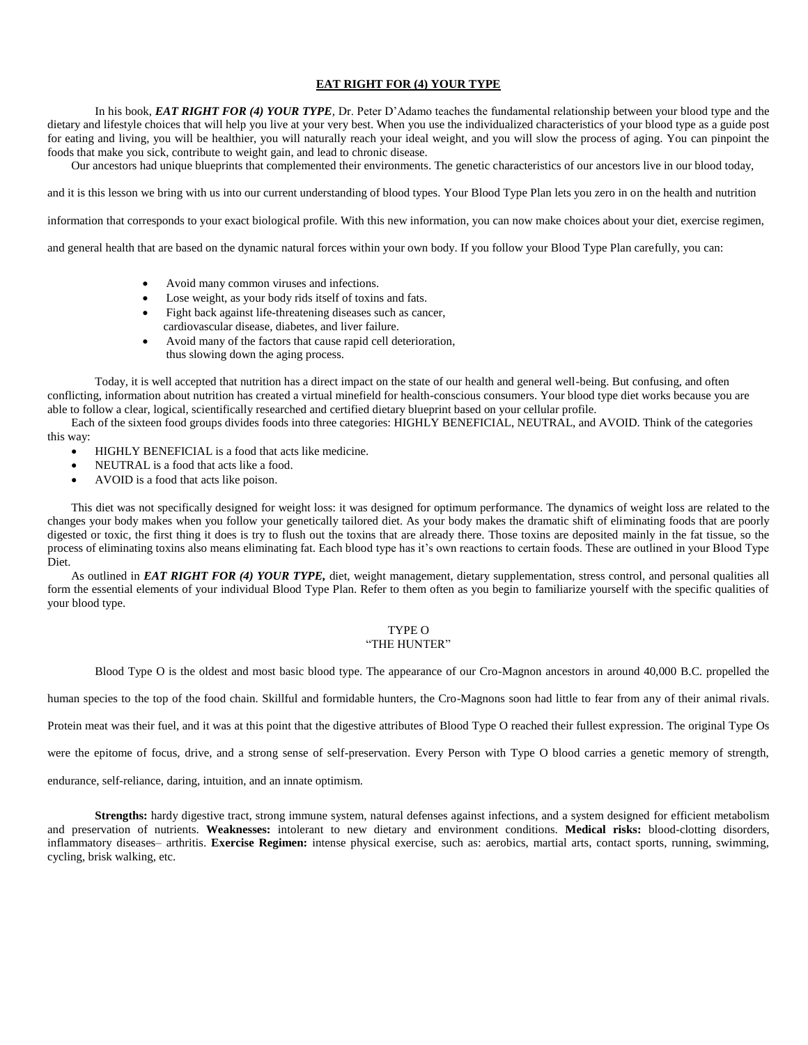### **EAT RIGHT FOR (4) YOUR TYPE**

In his book, *EAT RIGHT FOR (4) YOUR TYPE,* Dr. Peter D'Adamo teaches the fundamental relationship between your blood type and the dietary and lifestyle choices that will help you live at your very best. When you use the individualized characteristics of your blood type as a guide post for eating and living, you will be healthier, you will naturally reach your ideal weight, and you will slow the process of aging. You can pinpoint the foods that make you sick, contribute to weight gain, and lead to chronic disease.

Our ancestors had unique blueprints that complemented their environments. The genetic characteristics of our ancestors live in our blood today,

and it is this lesson we bring with us into our current understanding of blood types. Your Blood Type Plan lets you zero in on the health and nutrition

information that corresponds to your exact biological profile. With this new information, you can now make choices about your diet, exercise regimen,

and general health that are based on the dynamic natural forces within your own body. If you follow your Blood Type Plan carefully, you can:

- Avoid many common viruses and infections.
- Lose weight, as your body rids itself of toxins and fats.
- Fight back against life-threatening diseases such as cancer, cardiovascular disease, diabetes, and liver failure.
- Avoid many of the factors that cause rapid cell deterioration, thus slowing down the aging process.

Today, it is well accepted that nutrition has a direct impact on the state of our health and general well-being. But confusing, and often conflicting, information about nutrition has created a virtual minefield for health-conscious consumers. Your blood type diet works because you are able to follow a clear, logical, scientifically researched and certified dietary blueprint based on your cellular profile.

Each of the sixteen food groups divides foods into three categories: HIGHLY BENEFICIAL, NEUTRAL, and AVOID. Think of the categories this way:

- HIGHLY BENEFICIAL is a food that acts like medicine.
- NEUTRAL is a food that acts like a food.
- AVOID is a food that acts like poison.

This diet was not specifically designed for weight loss: it was designed for optimum performance. The dynamics of weight loss are related to the changes your body makes when you follow your genetically tailored diet. As your body makes the dramatic shift of eliminating foods that are poorly digested or toxic, the first thing it does is try to flush out the toxins that are already there. Those toxins are deposited mainly in the fat tissue, so the process of eliminating toxins also means eliminating fat. Each blood type has it's own reactions to certain foods. These are outlined in your Blood Type Diet.

As outlined in *EAT RIGHT FOR (4) YOUR TYPE,* diet, weight management, dietary supplementation, stress control, and personal qualities all form the essential elements of your individual Blood Type Plan. Refer to them often as you begin to familiarize yourself with the specific qualities of your blood type.

## TYPE O

## "THE HUNTER"

Blood Type O is the oldest and most basic blood type. The appearance of our Cro-Magnon ancestors in around 40,000 B.C. propelled the

human species to the top of the food chain. Skillful and formidable hunters, the Cro-Magnons soon had little to fear from any of their animal rivals.

Protein meat was their fuel, and it was at this point that the digestive attributes of Blood Type O reached their fullest expression. The original Type Os

were the epitome of focus, drive, and a strong sense of self-preservation. Every Person with Type O blood carries a genetic memory of strength,

endurance, self-reliance, daring, intuition, and an innate optimism.

**Strengths:** hardy digestive tract, strong immune system, natural defenses against infections, and a system designed for efficient metabolism and preservation of nutrients. **Weaknesses:** intolerant to new dietary and environment conditions. **Medical risks:** blood-clotting disorders, inflammatory diseases– arthritis. **Exercise Regimen:** intense physical exercise, such as: aerobics, martial arts, contact sports, running, swimming, cycling, brisk walking, etc.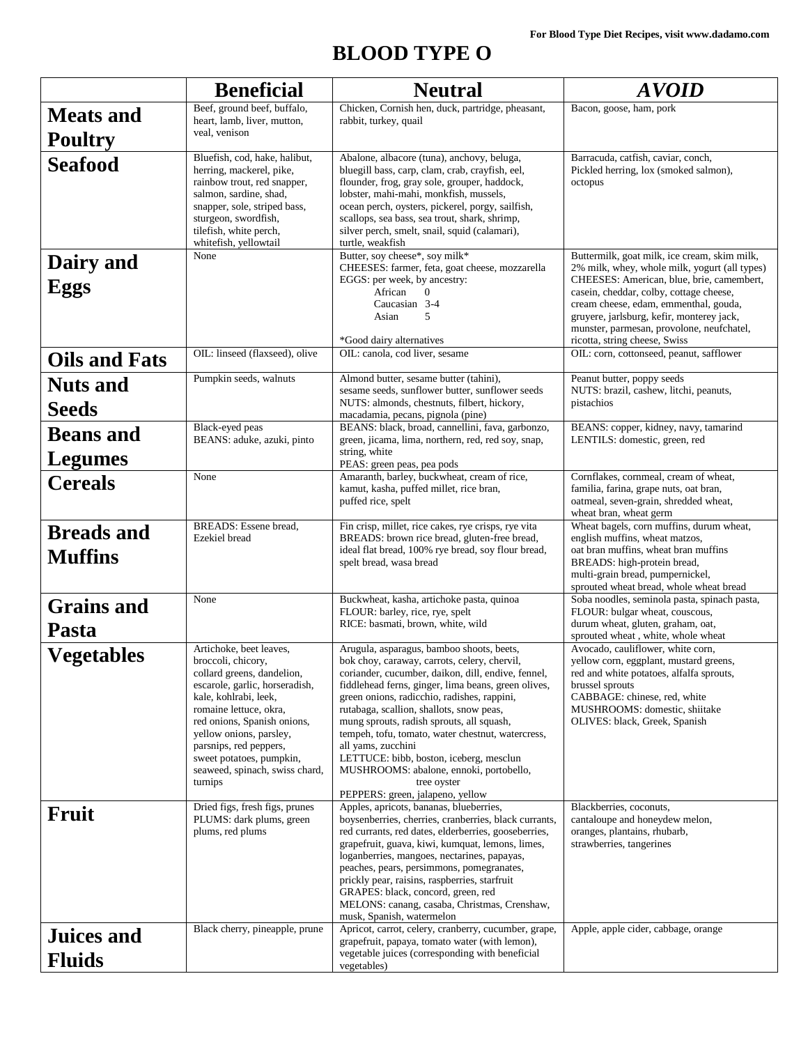# **BLOOD TYPE O**

|                                     | <b>Beneficial</b>                                                                                                                                                                                                                                                                                                             | <b>Neutral</b>                                                                                                                                                                                                                                                                                                                                                                                                                                                                                                                                                     | <b>AVOID</b>                                                                                                                                                                                                                                             |
|-------------------------------------|-------------------------------------------------------------------------------------------------------------------------------------------------------------------------------------------------------------------------------------------------------------------------------------------------------------------------------|--------------------------------------------------------------------------------------------------------------------------------------------------------------------------------------------------------------------------------------------------------------------------------------------------------------------------------------------------------------------------------------------------------------------------------------------------------------------------------------------------------------------------------------------------------------------|----------------------------------------------------------------------------------------------------------------------------------------------------------------------------------------------------------------------------------------------------------|
| <b>Meats and</b><br><b>Poultry</b>  | Beef, ground beef, buffalo,<br>heart, lamb, liver, mutton,<br>veal, venison                                                                                                                                                                                                                                                   | Chicken, Cornish hen, duck, partridge, pheasant,<br>rabbit, turkey, quail                                                                                                                                                                                                                                                                                                                                                                                                                                                                                          | Bacon, goose, ham, pork                                                                                                                                                                                                                                  |
| <b>Seafood</b>                      | Bluefish, cod, hake, halibut,<br>herring, mackerel, pike,<br>rainbow trout, red snapper,<br>salmon, sardine, shad,<br>snapper, sole, striped bass,<br>sturgeon, swordfish,<br>tilefish, white perch,<br>whitefish, yellowtail                                                                                                 | Abalone, albacore (tuna), anchovy, beluga,<br>Barracuda, catfish, caviar, conch,<br>bluegill bass, carp, clam, crab, crayfish, eel,<br>Pickled herring, lox (smoked salmon),<br>flounder, frog, gray sole, grouper, haddock,<br>octopus<br>lobster, mahi-mahi, monkfish, mussels,<br>ocean perch, oysters, pickerel, porgy, sailfish,<br>scallops, sea bass, sea trout, shark, shrimp,<br>silver perch, smelt, snail, squid (calamari),<br>turtle, weakfish                                                                                                        |                                                                                                                                                                                                                                                          |
| Dairy and                           | None                                                                                                                                                                                                                                                                                                                          | Butter, soy cheese*, soy milk*<br>CHEESES: farmer, feta, goat cheese, mozzarella                                                                                                                                                                                                                                                                                                                                                                                                                                                                                   | Buttermilk, goat milk, ice cream, skim milk,<br>2% milk, whey, whole milk, yogurt (all types)                                                                                                                                                            |
| <b>Eggs</b>                         |                                                                                                                                                                                                                                                                                                                               | EGGS: per week, by ancestry:<br>African<br>$\Omega$<br>Caucasian 3-4<br>Asian<br>5<br>*Good dairy alternatives                                                                                                                                                                                                                                                                                                                                                                                                                                                     | CHEESES: American, blue, brie, camembert,<br>casein, cheddar, colby, cottage cheese,<br>cream cheese, edam, emmenthal, gouda,<br>gruyere, jarlsburg, kefir, monterey jack,<br>munster, parmesan, provolone, neufchatel,<br>ricotta, string cheese, Swiss |
| <b>Oils and Fats</b>                | OIL: linseed (flaxseed), olive                                                                                                                                                                                                                                                                                                | OIL: canola, cod liver, sesame                                                                                                                                                                                                                                                                                                                                                                                                                                                                                                                                     | OIL: corn, cottonseed, peanut, safflower                                                                                                                                                                                                                 |
| <b>Nuts and</b><br><b>Seeds</b>     | Pumpkin seeds, walnuts                                                                                                                                                                                                                                                                                                        | Almond butter, sesame butter (tahini),<br>sesame seeds, sunflower butter, sunflower seeds<br>NUTS: almonds, chestnuts, filbert, hickory,<br>macadamia, pecans, pignola (pine)                                                                                                                                                                                                                                                                                                                                                                                      | Peanut butter, poppy seeds<br>NUTS: brazil, cashew, litchi, peanuts,<br>pistachios                                                                                                                                                                       |
| <b>Beans</b> and<br><b>Legumes</b>  | Black-eyed peas<br>BEANS: aduke, azuki, pinto                                                                                                                                                                                                                                                                                 | BEANS: black, broad, cannellini, fava, garbonzo,<br>green, jicama, lima, northern, red, red soy, snap,<br>string, white                                                                                                                                                                                                                                                                                                                                                                                                                                            | BEANS: copper, kidney, navy, tamarind<br>LENTILS: domestic, green, red                                                                                                                                                                                   |
| <b>Cereals</b>                      | None                                                                                                                                                                                                                                                                                                                          | PEAS: green peas, pea pods<br>Amaranth, barley, buckwheat, cream of rice,<br>kamut, kasha, puffed millet, rice bran,<br>puffed rice, spelt                                                                                                                                                                                                                                                                                                                                                                                                                         | Cornflakes, cornmeal, cream of wheat,<br>familia, farina, grape nuts, oat bran,<br>oatmeal, seven-grain, shredded wheat,<br>wheat bran, wheat germ                                                                                                       |
| <b>Breads and</b><br><b>Muffins</b> | <b>BREADS:</b> Essene bread,<br>Ezekiel bread                                                                                                                                                                                                                                                                                 | Fin crisp, millet, rice cakes, rye crisps, rye vita<br>BREADS: brown rice bread, gluten-free bread,<br>ideal flat bread, 100% rye bread, soy flour bread,<br>spelt bread, wasa bread                                                                                                                                                                                                                                                                                                                                                                               | Wheat bagels, corn muffins, durum wheat,<br>english muffins, wheat matzos,<br>oat bran muffins, wheat bran muffins<br>BREADS: high-protein bread,<br>multi-grain bread, pumpernickel,<br>sprouted wheat bread, whole wheat bread                         |
| <b>Grains and</b><br>Pasta          | None                                                                                                                                                                                                                                                                                                                          | Buckwheat, kasha, artichoke pasta, quinoa<br>FLOUR: barley, rice, rye, spelt<br>RICE: basmati, brown, white, wild                                                                                                                                                                                                                                                                                                                                                                                                                                                  | Soba noodles, seminola pasta, spinach pasta,<br>FLOUR: bulgar wheat, couscous,<br>durum wheat, gluten, graham, oat,<br>sprouted wheat, white, whole wheat                                                                                                |
| <b>Vegetables</b>                   | Artichoke, beet leaves,<br>broccoli, chicory,<br>collard greens, dandelion,<br>escarole, garlic, horseradish,<br>kale, kohlrabi, leek,<br>romaine lettuce, okra,<br>red onions, Spanish onions,<br>yellow onions, parsley,<br>parsnips, red peppers,<br>sweet potatoes, pumpkin,<br>seaweed, spinach, swiss chard,<br>turnips | Arugula, asparagus, bamboo shoots, beets,<br>bok choy, caraway, carrots, celery, chervil,<br>coriander, cucumber, daikon, dill, endive, fennel,<br>fiddlehead ferns, ginger, lima beans, green olives,<br>green onions, radicchio, radishes, rappini,<br>rutabaga, scallion, shallots, snow peas,<br>mung sprouts, radish sprouts, all squash,<br>tempeh, tofu, tomato, water chestnut, watercress,<br>all yams, zucchini<br>LETTUCE: bibb, boston, iceberg, mesclun<br>MUSHROOMS: abalone, ennoki, portobello,<br>tree oyster<br>PEPPERS: green, jalapeno, yellow | Avocado, cauliflower, white corn,<br>yellow corn, eggplant, mustard greens,<br>red and white potatoes, alfalfa sprouts,<br>brussel sprouts<br>CABBAGE: chinese, red, white<br>MUSHROOMS: domestic, shiitake<br>OLIVES: black, Greek, Spanish             |
| Fruit                               | Dried figs, fresh figs, prunes<br>PLUMS: dark plums, green<br>plums, red plums                                                                                                                                                                                                                                                | Apples, apricots, bananas, blueberries,<br>boysenberries, cherries, cranberries, black currants,<br>red currants, red dates, elderberries, gooseberries,<br>grapefruit, guava, kiwi, kumquat, lemons, limes,<br>loganberries, mangoes, nectarines, papayas,<br>peaches, pears, persimmons, pomegranates,<br>prickly pear, raisins, raspberries, starfruit<br>GRAPES: black, concord, green, red<br>MELONS: canang, casaba, Christmas, Crenshaw,<br>musk, Spanish, watermelon                                                                                       | Blackberries, coconuts,<br>cantaloupe and honeydew melon,<br>oranges, plantains, rhubarb,<br>strawberries, tangerines                                                                                                                                    |
| <b>Juices and</b><br><b>Fluids</b>  | Black cherry, pineapple, prune                                                                                                                                                                                                                                                                                                | Apricot, carrot, celery, cranberry, cucumber, grape,<br>grapefruit, papaya, tomato water (with lemon),<br>vegetable juices (corresponding with beneficial<br>vegetables)                                                                                                                                                                                                                                                                                                                                                                                           | Apple, apple cider, cabbage, orange                                                                                                                                                                                                                      |